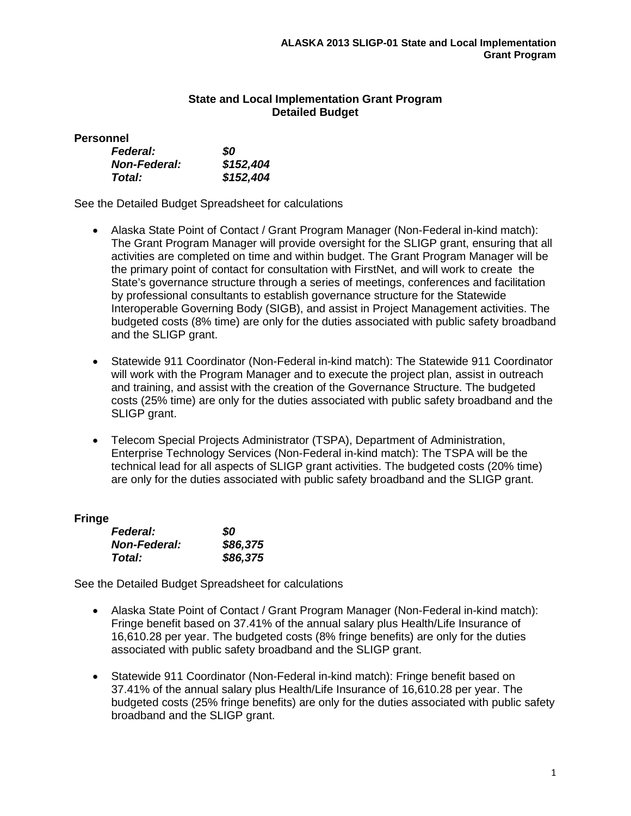# **State and Local Implementation Grant Program Detailed Budget**

**Personnel**

| <b>Federal:</b>     | 80        |
|---------------------|-----------|
| <b>Non-Federal:</b> | \$152,404 |
| Total:              | \$152,404 |

See the Detailed Budget Spreadsheet for calculations

- Alaska State Point of Contact / Grant Program Manager (Non-Federal in-kind match): The Grant Program Manager will provide oversight for the SLIGP grant, ensuring that all activities are completed on time and within budget. The Grant Program Manager will be the primary point of contact for consultation with FirstNet, and will work to create the State's governance structure through a series of meetings, conferences and facilitation by professional consultants to establish governance structure for the Statewide Interoperable Governing Body (SIGB), and assist in Project Management activities. The budgeted costs (8% time) are only for the duties associated with public safety broadband and the SLIGP grant.
- Statewide 911 Coordinator (Non-Federal in-kind match): The Statewide 911 Coordinator will work with the Program Manager and to execute the project plan, assist in outreach and training, and assist with the creation of the Governance Structure. The budgeted costs (25% time) are only for the duties associated with public safety broadband and the SLIGP grant.
- Telecom Special Projects Administrator (TSPA), Department of Administration, Enterprise Technology Services (Non-Federal in-kind match): The TSPA will be the technical lead for all aspects of SLIGP grant activities. The budgeted costs (20% time) are only for the duties associated with public safety broadband and the SLIGP grant.

## **Fringe**

| <b>Federal:</b>     | 80       |
|---------------------|----------|
| <b>Non-Federal:</b> | \$86,375 |
| Total:              | \$86,375 |

See the Detailed Budget Spreadsheet for calculations

- Alaska State Point of Contact / Grant Program Manager (Non-Federal in-kind match): Fringe benefit based on 37.41% of the annual salary plus Health/Life Insurance of 16,610.28 per year. The budgeted costs (8% fringe benefits) are only for the duties associated with public safety broadband and the SLIGP grant.
- Statewide 911 Coordinator (Non-Federal in-kind match): Fringe benefit based on 37.41% of the annual salary plus Health/Life Insurance of 16,610.28 per year. The budgeted costs (25% fringe benefits) are only for the duties associated with public safety broadband and the SLIGP grant.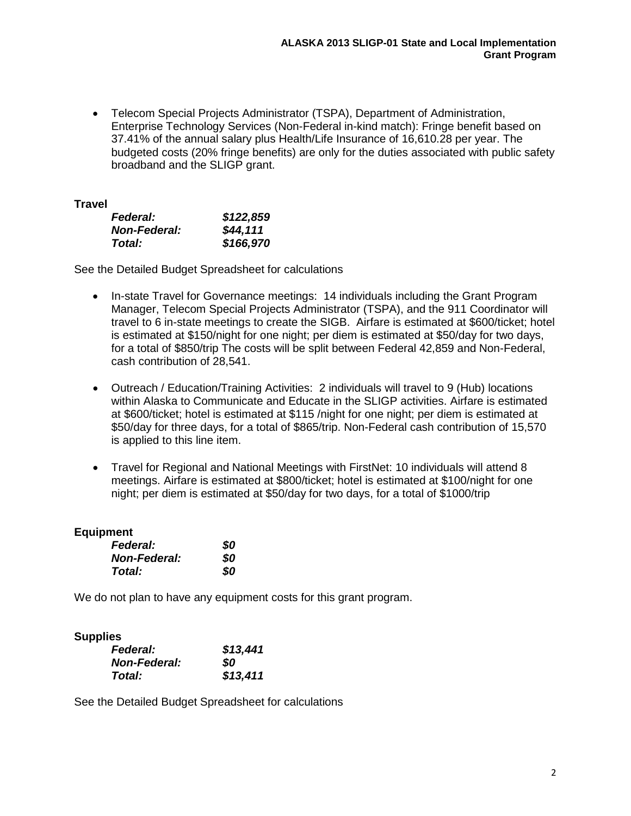• Telecom Special Projects Administrator (TSPA), Department of Administration, Enterprise Technology Services (Non-Federal in-kind match): Fringe benefit based on 37.41% of the annual salary plus Health/Life Insurance of 16,610.28 per year. The budgeted costs (20% fringe benefits) are only for the duties associated with public safety broadband and the SLIGP grant.

# **Travel**

| <b>Federal:</b>     | \$122,859 |
|---------------------|-----------|
| <b>Non-Federal:</b> | \$44,111  |
| Total:              | \$166,970 |

See the Detailed Budget Spreadsheet for calculations

- In-state Travel for Governance meetings: 14 individuals including the Grant Program Manager, Telecom Special Projects Administrator (TSPA), and the 911 Coordinator will travel to 6 in-state meetings to create the SIGB. Airfare is estimated at \$600/ticket; hotel is estimated at \$150/night for one night; per diem is estimated at \$50/day for two days, for a total of \$850/trip The costs will be split between Federal 42,859 and Non-Federal, cash contribution of 28,541.
- Outreach / Education/Training Activities: 2 individuals will travel to 9 (Hub) locations within Alaska to Communicate and Educate in the SLIGP activities. Airfare is estimated at \$600/ticket; hotel is estimated at \$115 /night for one night; per diem is estimated at \$50/day for three days, for a total of \$865/trip. Non-Federal cash contribution of 15,570 is applied to this line item.
- Travel for Regional and National Meetings with FirstNet: 10 individuals will attend 8 meetings. Airfare is estimated at \$800/ticket; hotel is estimated at \$100/night for one night; per diem is estimated at \$50/day for two days, for a total of \$1000/trip

## **Equipment**

| <b>Federal:</b>     | 80 |
|---------------------|----|
| <b>Non-Federal:</b> | 80 |
| Total:              | 80 |

We do not plan to have any equipment costs for this grant program.

## **Supplies**

| <b>Federal:</b>     | \$13,441 |
|---------------------|----------|
| <b>Non-Federal:</b> | SO.      |
| Total:              | \$13,411 |

See the Detailed Budget Spreadsheet for calculations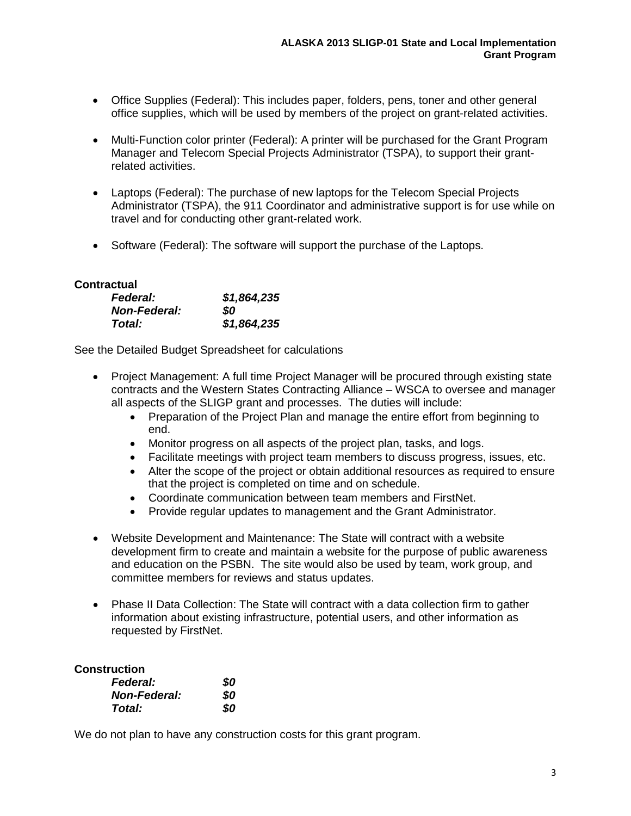- Office Supplies (Federal): This includes paper, folders, pens, toner and other general office supplies, which will be used by members of the project on grant-related activities.
- Multi-Function color printer (Federal): A printer will be purchased for the Grant Program Manager and Telecom Special Projects Administrator (TSPA), to support their grantrelated activities.
- Laptops (Federal): The purchase of new laptops for the Telecom Special Projects Administrator (TSPA), the 911 Coordinator and administrative support is for use while on travel and for conducting other grant-related work.
- Software (Federal): The software will support the purchase of the Laptops.

# **Contractual**

| <b>Federal:</b>     | \$1,864,235 |
|---------------------|-------------|
| <b>Non-Federal:</b> | SO          |
| Total:              | \$1,864,235 |

See the Detailed Budget Spreadsheet for calculations

- Project Management: A full time Project Manager will be procured through existing state contracts and the Western States Contracting Alliance – WSCA to oversee and manager all aspects of the SLIGP grant and processes. The duties will include:
	- Preparation of the Project Plan and manage the entire effort from beginning to end.
	- Monitor progress on all aspects of the project plan, tasks, and logs.
	- Facilitate meetings with project team members to discuss progress, issues, etc.
	- Alter the scope of the project or obtain additional resources as required to ensure that the project is completed on time and on schedule.
	- Coordinate communication between team members and FirstNet.
	- Provide regular updates to management and the Grant Administrator.
- Website Development and Maintenance: The State will contract with a website development firm to create and maintain a website for the purpose of public awareness and education on the PSBN. The site would also be used by team, work group, and committee members for reviews and status updates.
- Phase II Data Collection: The State will contract with a data collection firm to gather information about existing infrastructure, potential users, and other information as requested by FirstNet.

# **Construction**

| <b>Federal:</b>     | 80 |
|---------------------|----|
| <b>Non-Federal:</b> | 80 |
| Total:              | 80 |

We do not plan to have any construction costs for this grant program.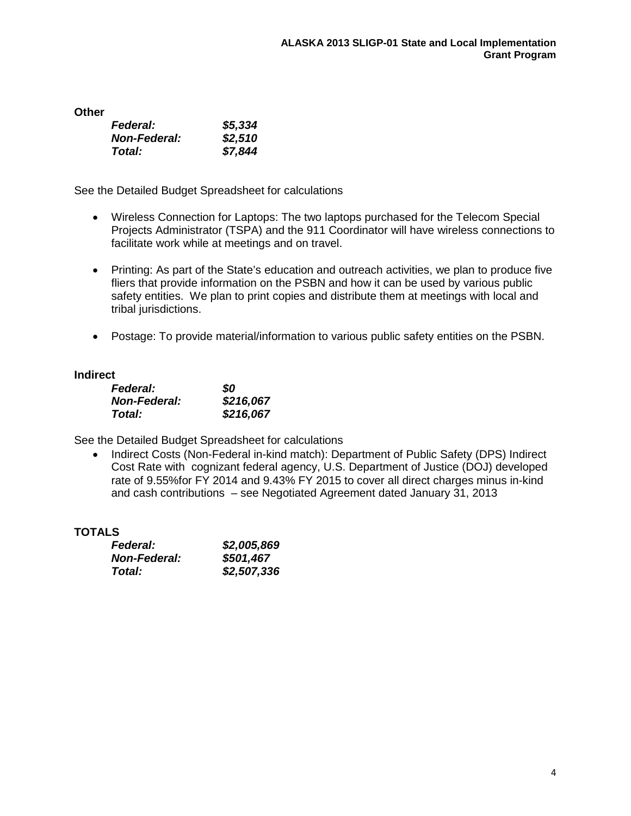**Other**

| <b>Federal:</b>     | \$5,334 |
|---------------------|---------|
| <b>Non-Federal:</b> | \$2,510 |
| Total:              | \$7,844 |

See the Detailed Budget Spreadsheet for calculations

- Wireless Connection for Laptops: The two laptops purchased for the Telecom Special Projects Administrator (TSPA) and the 911 Coordinator will have wireless connections to facilitate work while at meetings and on travel.
- Printing: As part of the State's education and outreach activities, we plan to produce five fliers that provide information on the PSBN and how it can be used by various public safety entities. We plan to print copies and distribute them at meetings with local and tribal jurisdictions.
- Postage: To provide material/information to various public safety entities on the PSBN.

## **Indirect**

| <b>Federal:</b>     | SO        |
|---------------------|-----------|
| <b>Non-Federal:</b> | \$216,067 |
| Total:              | \$216,067 |

See the Detailed Budget Spreadsheet for calculations

• Indirect Costs (Non-Federal in-kind match): Department of Public Safety (DPS) Indirect Cost Rate with cognizant federal agency, U.S. Department of Justice (DOJ) developed rate of 9.55%for FY 2014 and 9.43% FY 2015 to cover all direct charges minus in-kind and cash contributions – see Negotiated Agreement dated January 31, 2013

#### **TOTALS**

| <b>Federal:</b>     | \$2,005,869 |
|---------------------|-------------|
| <b>Non-Federal:</b> | \$501,467   |
| Total:              | \$2,507,336 |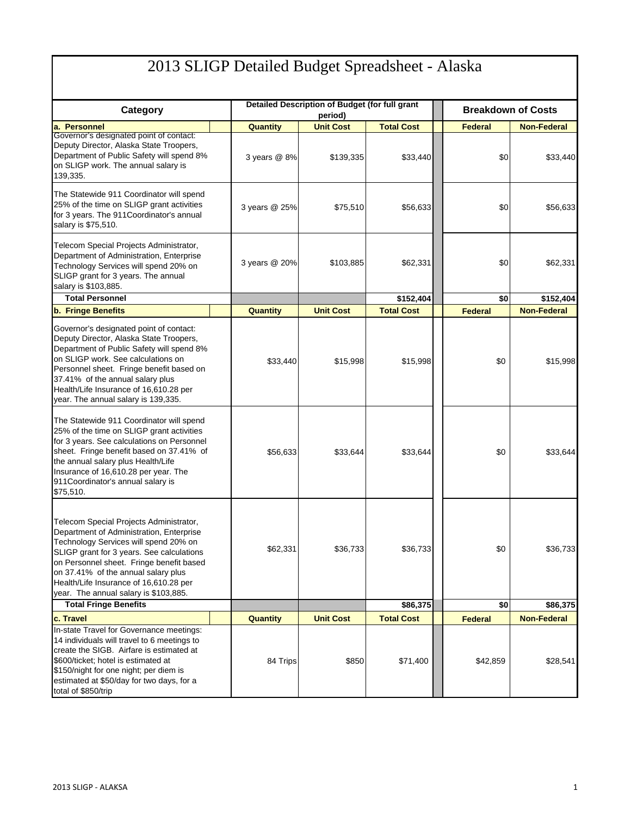# 2013 SLIGP Detailed Budget Spreadsheet - Alaska

|                                                                                                                                                                                                                                                                                                                                                                                 | Detailed Description of Budget (for full grant |                  |                      | <b>Breakdown of Costs</b> |                      |
|---------------------------------------------------------------------------------------------------------------------------------------------------------------------------------------------------------------------------------------------------------------------------------------------------------------------------------------------------------------------------------|------------------------------------------------|------------------|----------------------|---------------------------|----------------------|
| Category                                                                                                                                                                                                                                                                                                                                                                        |                                                | period)          |                      |                           |                      |
| a. Personnel                                                                                                                                                                                                                                                                                                                                                                    | <b>Quantity</b>                                | <b>Unit Cost</b> | <b>Total Cost</b>    | <b>Federal</b>            | <b>Non-Federal</b>   |
| Governor's designated point of contact:<br>Deputy Director, Alaska State Troopers,<br>Department of Public Safety will spend 8%<br>on SLIGP work. The annual salary is<br>139,335.                                                                                                                                                                                              | 3 years @ 8%                                   | \$139,335        | \$33,440             | \$0                       | \$33,440             |
| The Statewide 911 Coordinator will spend<br>25% of the time on SLIGP grant activities<br>for 3 years. The 911 Coordinator's annual<br>salary is \$75,510.                                                                                                                                                                                                                       | 3 years @ 25%                                  | \$75,510         | \$56,633             | \$0                       | \$56,633             |
| Telecom Special Projects Administrator,<br>Department of Administration, Enterprise<br>Technology Services will spend 20% on<br>SLIGP grant for 3 years. The annual<br>salary is \$103,885.                                                                                                                                                                                     | 3 years @ 20%                                  | \$103,885        | \$62,331             | \$0                       | \$62,331             |
| <b>Total Personnel</b>                                                                                                                                                                                                                                                                                                                                                          |                                                |                  | \$152,404            | \$0                       | \$152,404            |
| <b>b. Fringe Benefits</b>                                                                                                                                                                                                                                                                                                                                                       | <b>Quantity</b>                                | <b>Unit Cost</b> | <b>Total Cost</b>    | <b>Federal</b>            | <b>Non-Federal</b>   |
| Governor's designated point of contact:<br>Deputy Director, Alaska State Troopers,<br>Department of Public Safety will spend 8%<br>on SLIGP work. See calculations on<br>Personnel sheet. Fringe benefit based on<br>37.41% of the annual salary plus<br>Health/Life Insurance of 16,610.28 per<br>year. The annual salary is 139,335.                                          | \$33,440                                       | \$15,998         | \$15,998             | \$0                       | \$15,998             |
| The Statewide 911 Coordinator will spend<br>25% of the time on SLIGP grant activities<br>for 3 years. See calculations on Personnel<br>sheet. Fringe benefit based on 37.41% of<br>the annual salary plus Health/Life<br>Insurance of 16,610.28 per year. The<br>911Coordinator's annual salary is<br>\$75,510.                                                                 | \$56,633                                       | \$33,644         | \$33,644             | \$0                       | \$33,644             |
| Telecom Special Projects Administrator,<br>Department of Administration, Enterprise<br>Technology Services will spend 20% on<br>SLIGP grant for 3 years. See calculations<br>on Personnel sheet. Fringe benefit based<br>on 37.41% of the annual salary plus<br>Health/Life Insurance of 16,610.28 per<br>year. The annual salary is \$103,885.<br><b>Total Fringe Benefits</b> | \$62,331                                       | \$36,733         | \$36,733<br>\$86,375 | \$0<br>\$0                | \$36,733<br>\$86,375 |
|                                                                                                                                                                                                                                                                                                                                                                                 |                                                |                  |                      |                           |                      |
| c. Travel                                                                                                                                                                                                                                                                                                                                                                       | Quantity                                       | <b>Unit Cost</b> | <b>Total Cost</b>    | <b>Federal</b>            | <b>Non-Federal</b>   |
| In-state Travel for Governance meetings:<br>14 individuals will travel to 6 meetings to<br>create the SIGB. Airfare is estimated at<br>\$600/ticket; hotel is estimated at<br>\$150/night for one night; per diem is<br>estimated at \$50/day for two days, for a<br>total of \$850/trip                                                                                        | 84 Trips                                       | \$850            | \$71,400             | \$42,859                  | \$28,541             |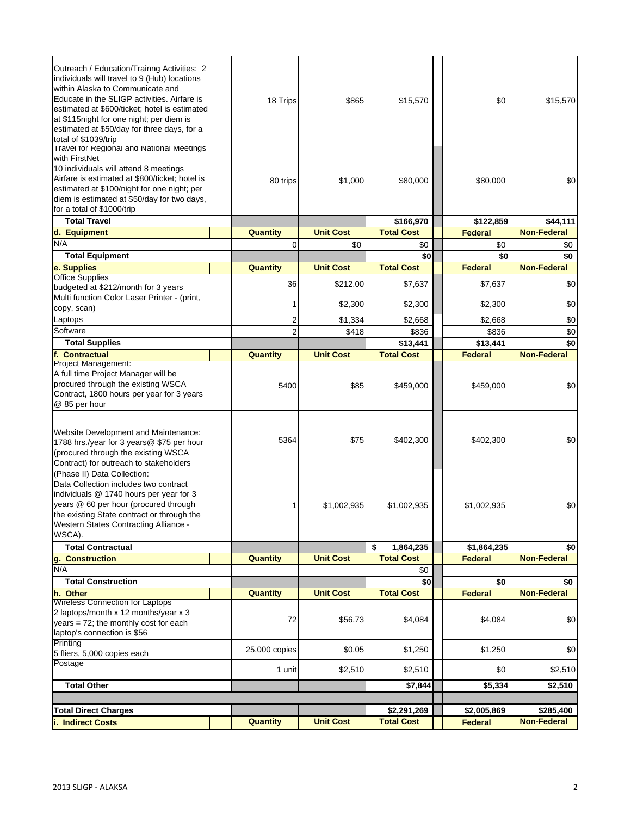| i. Indirect Costs                                                                                                                                                                                                                                                                                 | <b>Quantity</b> | <b>Unit Cost</b> | <b>Total Cost</b>        | <b>Federal</b> | <b>Non-Federal</b>        |
|---------------------------------------------------------------------------------------------------------------------------------------------------------------------------------------------------------------------------------------------------------------------------------------------------|-----------------|------------------|--------------------------|----------------|---------------------------|
| <b>Total Direct Charges</b>                                                                                                                                                                                                                                                                       |                 |                  | \$2,291,269              | \$2,005,869    | \$285,400                 |
|                                                                                                                                                                                                                                                                                                   |                 |                  |                          |                |                           |
| <b>Total Other</b>                                                                                                                                                                                                                                                                                |                 |                  | \$7,844                  | \$5,334        | \$2,510                   |
| Postage                                                                                                                                                                                                                                                                                           | 1 unit          | \$2,510          | \$2,510                  | \$0            | \$2,510                   |
| Printing<br>5 fliers, 5,000 copies each                                                                                                                                                                                                                                                           | 25,000 copies   | \$0.05           | \$1,250                  | \$1,250        | \$0                       |
| laptop's connection is \$56                                                                                                                                                                                                                                                                       |                 |                  |                          |                |                           |
| years = $72$ ; the monthly cost for each                                                                                                                                                                                                                                                          | 72              | \$56.73          | \$4,084                  | \$4,084        | \$0                       |
| 2 laptops/month x 12 months/year x 3                                                                                                                                                                                                                                                              |                 |                  |                          |                |                           |
| <b>Wireless Connection for Laptops</b>                                                                                                                                                                                                                                                            |                 |                  |                          | <b>Federal</b> |                           |
| <b>Total Construction</b><br>h. Other                                                                                                                                                                                                                                                             | <b>Quantity</b> | <b>Unit Cost</b> | \$0<br><b>Total Cost</b> | \$0            | \$0<br><b>Non-Federal</b> |
| N/A                                                                                                                                                                                                                                                                                               |                 |                  | \$0                      |                |                           |
| q. Construction                                                                                                                                                                                                                                                                                   | <b>Quantity</b> | <b>Unit Cost</b> | <b>Total Cost</b>        | <b>Federal</b> | <b>Non-Federal</b>        |
| <b>Total Contractual</b>                                                                                                                                                                                                                                                                          |                 |                  | 1,864,235<br>\$          | \$1,864,235    | \$0                       |
| (Phase II) Data Collection:<br>Data Collection includes two contract<br>individuals @ 1740 hours per year for 3<br>years @ 60 per hour (procured through<br>the existing State contract or through the<br><b>Western States Contracting Alliance -</b><br>WSCA).                                  | 1               | \$1,002,935      | \$1,002,935              | \$1,002,935    | \$0                       |
| Website Development and Maintenance:<br>1788 hrs./year for 3 years@ \$75 per hour<br>(procured through the existing WSCA<br>Contract) for outreach to stakeholders                                                                                                                                | 5364            | \$75             | \$402,300                | \$402,300      | \$0                       |
| Project Management:<br>A full time Project Manager will be<br>procured through the existing WSCA<br>Contract, 1800 hours per year for 3 years<br>@ 85 per hour                                                                                                                                    | 5400            | \$85             | \$459,000                | \$459,000      | \$0                       |
| f. Contractual                                                                                                                                                                                                                                                                                    | <b>Quantity</b> | <b>Unit Cost</b> | <b>Total Cost</b>        | <b>Federal</b> | <b>Non-Federal</b>        |
| <b>Total Supplies</b>                                                                                                                                                                                                                                                                             |                 |                  | \$13,441                 | \$13,441       | \$0                       |
| Software                                                                                                                                                                                                                                                                                          | $\overline{2}$  | \$418            | \$836                    | \$836          | \$0                       |
| Laptops                                                                                                                                                                                                                                                                                           | $\overline{c}$  | \$1,334          | \$2,668                  | \$2,668        | \$0                       |
| Multi function Color Laser Printer - (print,<br>copy, scan)                                                                                                                                                                                                                                       | 1               | \$2,300          | \$2,300                  | \$2,300        | \$0                       |
| budgeted at \$212/month for 3 years                                                                                                                                                                                                                                                               | 36              | \$212.00         | \$7,637                  | \$7,637        | \$0                       |
| e. Supplies<br><b>Office Supplies</b>                                                                                                                                                                                                                                                             | Quantity        | <b>Unit Cost</b> |                          | <b>Federal</b> | <b>Non-Federal</b>        |
| <b>Total Equipment</b>                                                                                                                                                                                                                                                                            |                 |                  | \$0<br><b>Total Cost</b> | \$0            | \$0                       |
| N/A                                                                                                                                                                                                                                                                                               | $\Omega$        | \$0              | \$0                      | \$0            | \$0                       |
| d. Equipment                                                                                                                                                                                                                                                                                      | Quantity        | <b>Unit Cost</b> | <b>Total Cost</b>        | <b>Federal</b> | <b>Non-Federal</b>        |
| <b>Total Travel</b>                                                                                                                                                                                                                                                                               |                 |                  | \$166,970                | \$122,859      | \$44,111                  |
| with FirstNet<br>10 individuals will attend 8 meetings<br>Airfare is estimated at \$800/ticket; hotel is<br>estimated at \$100/night for one night; per<br>diem is estimated at \$50/day for two days,<br>for a total of \$1000/trip                                                              | 80 trips        | \$1,000          | \$80,000                 | \$80,000       | \$0                       |
| within Alaska to Communicate and<br>Educate in the SLIGP activities. Airfare is<br>estimated at \$600/ticket; hotel is estimated<br>at \$115 night for one night; per diem is<br>estimated at \$50/day for three days, for a<br>total of \$1039/trip<br>Travel for Regional and National Meetings | 18 Trips        | \$865            | \$15,570                 | \$0            | \$15,570                  |
| Outreach / Education/Trainng Activities: 2<br>individuals will travel to 9 (Hub) locations                                                                                                                                                                                                        |                 |                  |                          |                |                           |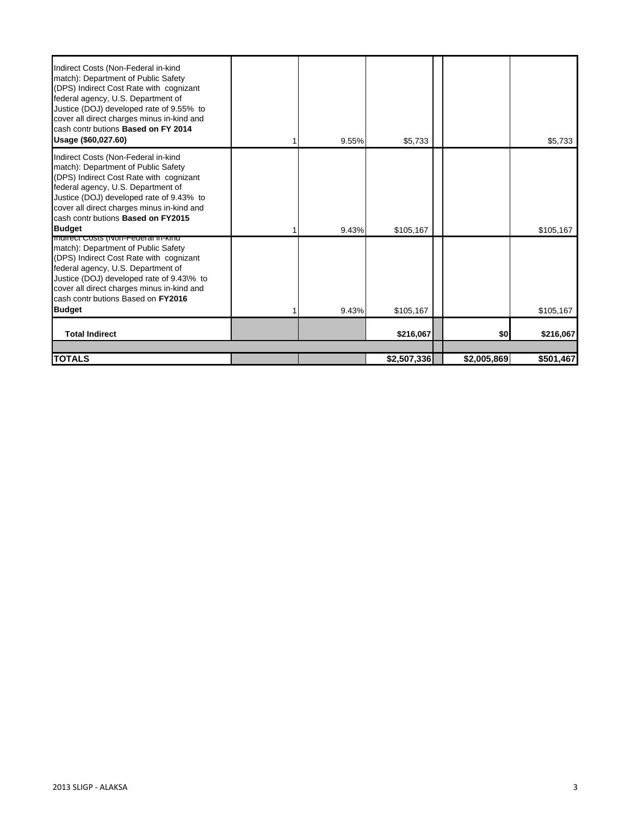| Indirect Costs (Non-Federal in-kind<br>match): Department of Public Safety<br>(DPS) Indirect Cost Rate with cognizant<br>federal agency, U.S. Department of<br>Justice (DOJ) developed rate of 9.55% to<br>cover all direct charges minus in-kind and<br>cash contr butions Based on FY 2014<br>Usage (\$60,027.60) |   | 9.55% | \$5.733     |             | \$5,733   |
|---------------------------------------------------------------------------------------------------------------------------------------------------------------------------------------------------------------------------------------------------------------------------------------------------------------------|---|-------|-------------|-------------|-----------|
| Indirect Costs (Non-Federal in-kind<br>match): Department of Public Safety<br>(DPS) Indirect Cost Rate with cognizant<br>federal agency, U.S. Department of<br>Justice (DOJ) developed rate of 9.43% to<br>cover all direct charges minus in-kind and<br>cash contr butions Based on FY2015                         |   |       |             |             |           |
| <b>Budget</b>                                                                                                                                                                                                                                                                                                       | 1 | 9.43% | \$105,167   |             | \$105,167 |
| mullect Costs (ivon-Federal In-Kind<br>match): Department of Public Safety<br>(DPS) Indirect Cost Rate with cognizant<br>federal agency, U.S. Department of<br>Justice (DOJ) developed rate of 9.43\% to<br>cover all direct charges minus in-kind and<br>cash contr butions Based on FY2016<br><b>Budget</b>       |   | 9.43% | \$105.167   |             | \$105,167 |
|                                                                                                                                                                                                                                                                                                                     |   |       |             |             |           |
| <b>Total Indirect</b>                                                                                                                                                                                                                                                                                               |   |       | \$216,067   | \$0         | \$216,067 |
| <b>TOTALS</b>                                                                                                                                                                                                                                                                                                       |   |       | \$2,507,336 | \$2,005,869 | \$501,467 |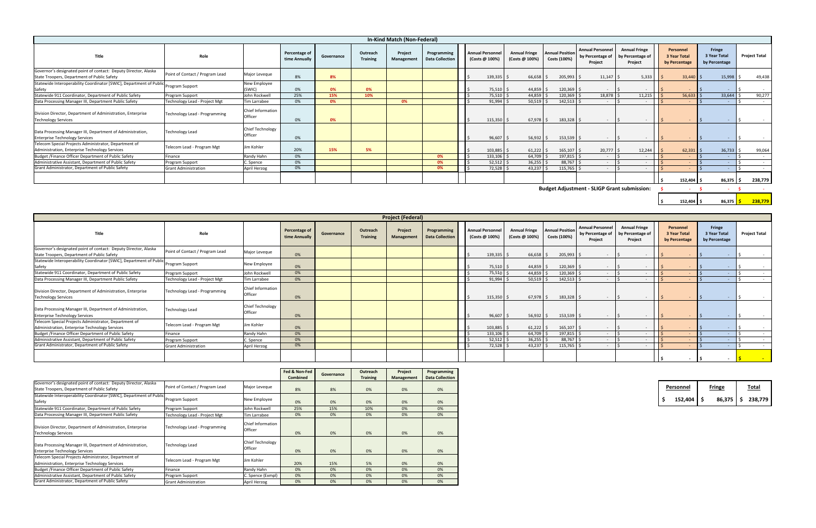|                                                                                                                |                                 |                                    |                                |            |                             | In-Kind Match (Non-Federal) |                                       |  |                                          |                                        |                                        |                                                        |                                                     |                                            |                                                |                      |            |
|----------------------------------------------------------------------------------------------------------------|---------------------------------|------------------------------------|--------------------------------|------------|-----------------------------|-----------------------------|---------------------------------------|--|------------------------------------------|----------------------------------------|----------------------------------------|--------------------------------------------------------|-----------------------------------------------------|--------------------------------------------|------------------------------------------------|----------------------|------------|
| Title                                                                                                          | Role                            |                                    | Percentage of<br>time Annually | Governance | Outreach<br><b>Training</b> | Project<br>Management       | Programming<br><b>Data Collection</b> |  | <b>Annual Personne</b><br>(Costs @ 100%) | <b>Annual Fringe</b><br>(Costs @ 100%) | <b>Annual Position</b><br>Costs (100%) | <b>Annual Personnel</b><br>by Percentage of<br>Project | <b>Annual Fringe</b><br>by Percentage of<br>Project | Personnel<br>3 Year Total<br>by Percentage | Fringe<br><b>3 Year Total</b><br>by Percentage | <b>Project Total</b> |            |
| Governor's designated point of contact: Deputy Director, Alaska<br>State Troopers, Department of Public Safety | Point of Contact / Program Lead | Major Leveque                      | 8%                             | 8%         |                             |                             |                                       |  | $139,335$ \$                             | 66,658                                 | 205,993                                | 11,147                                                 | 5,333                                               | $33,440$ \$                                | 15,998                                         |                      | 49,438     |
| Statewide Interoperability Coordinator [SWIC], Department of Public<br>Safety                                  | Program Support                 | New Employee<br>(SWIC)             | 0%                             | 0%         | 0%                          |                             |                                       |  | $75,510$ \$                              | 44,859                                 | $120,369$ \$                           |                                                        |                                                     |                                            | $\sim$                                         |                      | $\sim$     |
| Statewide 911 Coordinator, Department of Public Safety                                                         | Program Support                 | John Rockwell                      | 25%                            | 15%        | 10%                         |                             |                                       |  | $75,510$ \$                              | 44,859                                 | 120,369 \$                             | 18,878 \$                                              | 11,215                                              | 56,633                                     | 33,644                                         |                      | 90,277     |
| Data Processing Manager III, Department Public Safety                                                          | Technology Lead - Project Mgt   | Tim Larrabee                       | 0%                             | 0%         |                             | 0%                          |                                       |  | $91,994$ \$                              | 50,519                                 | 142,513                                | $\sim$                                                 |                                                     |                                            |                                                |                      | $\sim$ $-$ |
| Division Director, Department of Administration, Enterprise<br><b>Technology Services</b>                      | Technology Lead - Programming   | Chief Information<br>Officer       | 0%                             | 0%         |                             |                             |                                       |  | $115,350$ \$                             | $67,978$ \$                            | 183,328 \$                             |                                                        | $\sim$                                              |                                            |                                                |                      |            |
| Data Processing Manager III, Department of Administration,<br><b>Enterprise Technology Services</b>            | <b>Technology Lead</b>          | <b>Chief Technology</b><br>Officer | 0%                             |            |                             |                             |                                       |  | $96,607$ \$                              | $56,932$ \$                            | $153,539$ \$                           |                                                        |                                                     | $\sim$                                     |                                                |                      |            |
| Telecom Special Projects Administrator, Department of<br>Administration, Enterprise Technology Services        | Telecom Lead - Program Mgt      | Jim Kohler                         | 20%                            | 15%        | 5%                          |                             |                                       |  | $103,885$ \$                             | $61,222$ \$                            | 165,107                                | 20,777                                                 | 12,244                                              | $62,331$ :                                 | 36,733                                         |                      | 99,064     |
| Budget / Finance Officer Department of Public Safety                                                           | Finance                         | Randy Hahn                         | 0%                             |            |                             |                             | 0%                                    |  | $133,106$ \$                             | 64,709                                 | 197,815                                | $\sim$                                                 |                                                     |                                            |                                                |                      | $\sim$     |
| Administrative Assistant, Department of Public Safety                                                          | Program Support                 | C. Spence                          | 0%                             |            |                             |                             | 0%                                    |  | $52,512$ \$                              | 36,255                                 | 88,767                                 | $\sim$                                                 | $\sim$                                              | $\sim$                                     | $\sim$                                         |                      | $\sim$     |
| Grant Administrator, Department of Public Safety                                                               | <b>Grant Administration</b>     | April Herzog                       | 0%                             |            |                             |                             | 0%                                    |  | $72,528$ \$                              | $43,237$ \$                            | $115,765$ \$                           |                                                        |                                                     |                                            |                                                |                      | $\sim$     |
|                                                                                                                |                                 |                                    |                                |            |                             |                             |                                       |  |                                          |                                        |                                        |                                                        |                                                     | $152,404$ \$                               |                                                | 86,375 \$            | 238,779    |
| <b>Budget Adjustment - SLIGP Grant submission:</b>                                                             |                                 |                                    |                                |            |                             |                             |                                       |  |                                          | <b>CONTRACTOR</b>                      |                                        |                                                        |                                                     |                                            |                                                |                      |            |
|                                                                                                                |                                 |                                    |                                |            |                             |                             |                                       |  |                                          |                                        |                                        |                                                        |                                                     | $152,404$ \$                               | 86,375                                         |                      | 238,779    |

| <b>Project (Federal)</b>                                                                                       |                                 |                              |                                |            |                             |                       |                                       |  |                                           |                                        |                                        |                                                        |                                                     |                                            |                                                |                      |
|----------------------------------------------------------------------------------------------------------------|---------------------------------|------------------------------|--------------------------------|------------|-----------------------------|-----------------------|---------------------------------------|--|-------------------------------------------|----------------------------------------|----------------------------------------|--------------------------------------------------------|-----------------------------------------------------|--------------------------------------------|------------------------------------------------|----------------------|
| Title                                                                                                          | Role                            |                              | Percentage of<br>time Annually | Governance | Outreach<br><b>Training</b> | Project<br>Management | Programming<br><b>Data Collection</b> |  | <b>Annual Personnel</b><br>(Costs @ 100%) | <b>Annual Fringe</b><br>(Costs @ 100%) | <b>Annual Position</b><br>Costs (100%) | <b>Annual Personnel</b><br>by Percentage of<br>Project | <b>Annual Fringe</b><br>by Percentage of<br>Project | Personnel<br>3 Year Total<br>by Percentage | Fringe<br><b>3 Year Total</b><br>by Percentage | <b>Project Total</b> |
| Governor's designated point of contact: Deputy Director, Alaska<br>State Troopers, Department of Public Safety | Point of Contact / Program Lead | Major Leveque                | 0%                             |            |                             |                       |                                       |  | $139,335$ \$                              | $66,658$ \$                            | 205,993                                | $\overline{\phantom{a}}$                               |                                                     |                                            |                                                |                      |
| Statewide Interoperability Coordinator [SWIC], Department of Public<br>Safety                                  | Program Support                 | New Employee                 | 0%                             |            |                             |                       |                                       |  | 75,510 \$                                 | $44,859$ \$                            | 120,369                                |                                                        |                                                     |                                            |                                                |                      |
| Statewide 911 Coordinator, Department of Public Safety                                                         | Program Support                 | John Rockwell                | 0%                             |            |                             |                       |                                       |  | 75,510 \$                                 | 44,859                                 | 120,369                                |                                                        |                                                     |                                            | $\sim$                                         |                      |
| Data Processing Manager III, Department Public Safety                                                          | Technology Lead - Project Mgt   | <b>Tim Larrabee</b>          | 0%                             |            |                             |                       |                                       |  | 91,994                                    | $50,519$ \$                            | 142,513                                | $\overline{\phantom{a}}$                               |                                                     |                                            | $\sim$                                         | $\sim$               |
| Division Director, Department of Administration, Enterprise<br><b>Technology Services</b>                      | Technology Lead - Programming   | Chief Information<br>Officer | 0%                             |            |                             |                       |                                       |  | $115,350$ \$                              | $67,978$ \$                            | 183,328 \$                             | $\sim$                                                 |                                                     |                                            | $\sim$                                         |                      |
| Data Processing Manager III, Department of Administration,<br><b>Enterprise Technology Services</b>            | <b>Technology Lead</b>          | Chief Technology<br>Officer  | 0%                             |            |                             |                       |                                       |  | $96,607$ \$                               | $56,932$ \$                            | 153,539                                | $\overline{\phantom{0}}$                               |                                                     |                                            |                                                |                      |
| Telecom Special Projects Administrator, Department of<br>Administration, Enterprise Technology Services        | Telecom Lead - Program Mgt      | Jim Kohler                   | 0%                             |            |                             |                       |                                       |  | 103,885                                   | 61,222                                 | 165,107                                | $\overline{\phantom{a}}$                               |                                                     |                                            |                                                |                      |
| Budget /Finance Officer Department of Public Safety                                                            | Finance                         | Randy Hahn                   | $0\%$                          |            |                             |                       |                                       |  | $133,106$ \$                              | 64,709 \$                              | 197,815                                | $\sim$                                                 |                                                     | $\overline{\phantom{a}}$                   | $\sim$                                         |                      |
| Administrative Assistant, Department of Public Safety                                                          | Program Support                 | C. Spence                    | 0%                             |            |                             |                       |                                       |  | 52,512                                    | $36,255$ \$                            | 88,767                                 | $\sim$                                                 |                                                     |                                            | $\sim$                                         |                      |
| Grant Administrator, Department of Public Safety                                                               | <b>Grant Administration</b>     | April Herzog                 | 0%                             |            |                             |                       |                                       |  | $72,528$ \$                               | $43,237$ \$                            | 115,765                                | $\overline{\phantom{0}}$                               |                                                     | $\sim$                                     | $\sim$                                         |                      |
|                                                                                                                |                                 |                              |                                |            |                             |                       |                                       |  |                                           |                                        |                                        |                                                        |                                                     |                                            |                                                |                      |

|                                                                                                                |                                 |                              | Fed & Non-Fed | Governance | Outreach        | Project           | Programming            |
|----------------------------------------------------------------------------------------------------------------|---------------------------------|------------------------------|---------------|------------|-----------------|-------------------|------------------------|
|                                                                                                                |                                 |                              | Combined      |            | <b>Training</b> | <b>Management</b> | <b>Data Collection</b> |
| Governor's designated point of contact: Deputy Director, Alaska<br>State Troopers, Department of Public Safety | Point of Contact / Program Lead | Major Leveque                | 8%            | 8%         | 0%              | 0%                | 0%                     |
| Statewide Interoperability Coordinator [SWIC], Department of Public<br>Safety                                  | Program Support                 | New Employee                 | 0%            | 0%         | 0%              | 0%                | 0%                     |
| Statewide 911 Coordinator, Department of Public Safety                                                         | Program Support                 | lohn Rockwell                | 25%           | 15%        | 10%             | 0%                | 0%                     |
| Data Processing Manager III, Department Public Safety                                                          | Technology Lead - Project Mgt   | Tim Larrabee                 | 0%            | 0%         | 0%              | 0%                | 0%                     |
| Division Director, Department of Administration, Enterprise<br><b>Technology Services</b>                      | Technology Lead - Programming   | Chief Information<br>Officer | 0%            | 0%         | 0%              | 0%                | 0%                     |
| Data Processing Manager III, Department of Administration,<br><b>Enterprise Technology Services</b>            | <b>Technology Lead</b>          | Chief Technology<br>Officer  | 0%            | 0%         | 0%              | 0%                | 0%                     |
| Telecom Special Projects Administrator, Department of<br>Administration, Enterprise Technology Services        | Telecom Lead - Program Mgt      | Jim Kohler                   | 20%           | 15%        | 5%              | 0%                | 0%                     |
| Budget /Finance Officer Department of Public Safety                                                            | Finance                         | Randy Hahn                   | 0%            | 0%         | 0%              | 0%                | 0%                     |
| Administrative Assistant, Department of Public Safety                                                          | Program Support                 | Spence (Exmpl)               | 0%            | 0%         | 0%              | 0%                | 0%                     |
| Grant Administrator, Department of Public Safety                                                               | <b>Grant Administration</b>     | April Herzog                 | 0%            | 0%         | 0%              | 0%                | 0%                     |

| Personnel | Fringe | Total |                     |  |  |  |
|-----------|--------|-------|---------------------|--|--|--|
| 152,404   |        |       | 86,375   \$ 238,779 |  |  |  |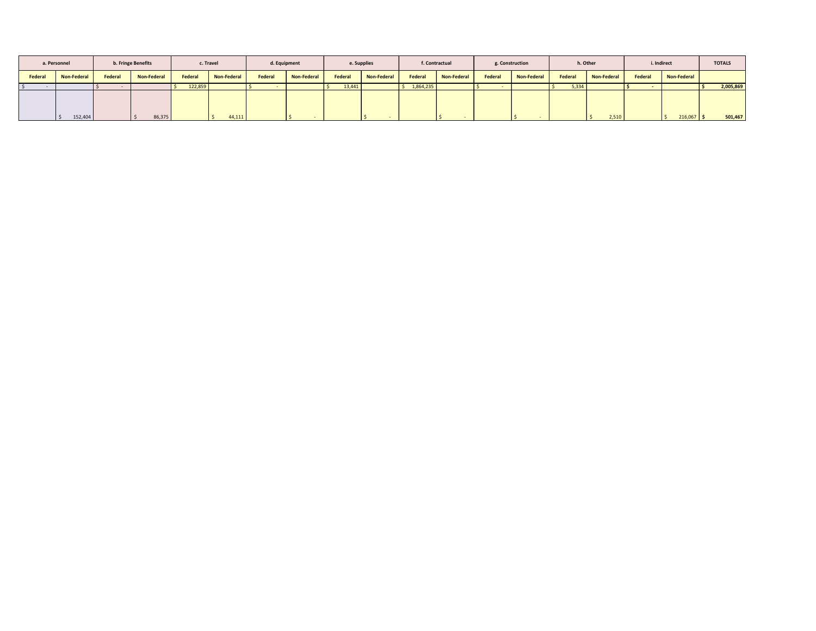| a. Personnel |                    |         | b. Fringe Benefits |         | c. Travel   |         | d. Equipment       |         | e. Supplies |           | f. Contractual |         | g. Construction |         | h. Other    |         | i. Indirect  | <b>TOTALS</b> |
|--------------|--------------------|---------|--------------------|---------|-------------|---------|--------------------|---------|-------------|-----------|----------------|---------|-----------------|---------|-------------|---------|--------------|---------------|
| Federal      | <b>Non-Federal</b> | Federal | Non-Federal        | Federal | Non-Federal | Federal | <b>Non-Federal</b> | Federal | Non-Federal | Federal   | Non-Federal    | Federal | Non-Federal     | Federal | Non-Federal | Federal | Non-Federal  |               |
|              |                    |         |                    | 122,859 |             |         |                    | 13,441  |             | 1,864,235 |                |         |                 | 5,334   |             |         |              | 2,005,869     |
|              | 152,404<br>I\$     |         | 86,375             |         | 44,111      |         |                    |         |             |           |                |         |                 |         | 2,510       |         | $216,067$ \$ | 501,467       |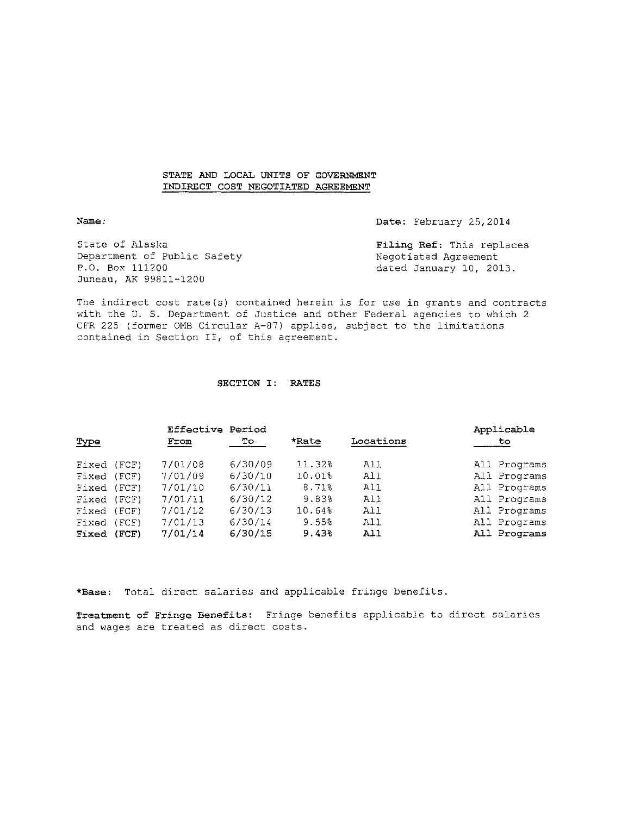#### STATE AND LOCAL UNITS OF GOVERNMENT INDIRECT COST NEGOTIATED AGREEMENT

Date: February 25,2014

State of Alaska Department of Public Safety P.O. Box 111200 Juneau, AK 99811-1200

**Filing Ref:** This replaces Negotiated Agreement dated January 10, 2013.

The indirect cost rate(s) contained herein is for use in grants and contracts with the U. S. Department of Justice and other Federal agencies to which 2 CFR 225 (former OMB Circular A-87) applies, subject to the limitations contained in Section II, of this agreement.

#### SECTION I: RATES

|             |       | <b>Effective Period</b> |         |        |           | Applicable   |
|-------------|-------|-------------------------|---------|--------|-----------|--------------|
| Type        |       | From                    | To.     | *Rate  | Locations | to           |
| Fixed (FCF) |       | 7/01/08                 | 6/30/09 | 11.32% | All       | All Programs |
| Fixed (FCF) |       | 7/01/09                 | 6/30/10 | 10.01% | All       | All Programs |
| Fixed (FCF) |       | 7/01/10                 | 6/30/11 | 8.71%  | All       | All Programs |
| Fixed (FCF) |       | 7/01/11                 | 6/30/12 | 9.83%  | A11       | All Programs |
| Fixed (FCF) |       | 7/01/12                 | 6/30/13 | 10.64% | All       | All Programs |
| Fixed       | (FCF) | 7/01/13                 | 6/30/14 | 9.55%  | Al 1      | All Programs |
| Fixed       | (FCF) | 7/01/14                 | 6/30/15 | 9.43%  | All       | All Programs |

**\*Base:** Total direct salaries and applicable fringe benefits.

**Treatment of Fringe Benefits:** Fringe benefits applicable to direct salaries and wages are treated as direct costs.

**Name:**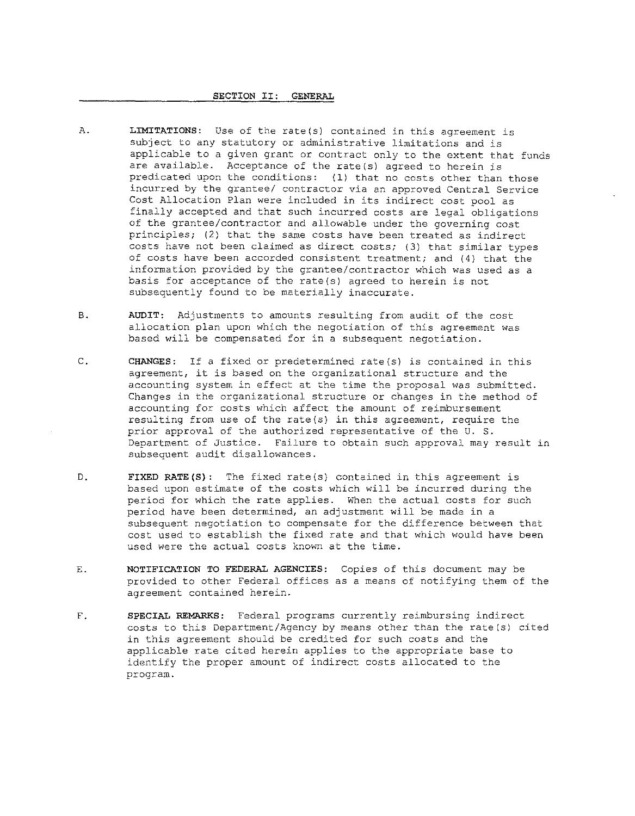#### SECTION II: GENERAL

- A. **LIMITATIONS:** Use of the rate(s) contained in this agreement is subject to any statutory or administrative limitations and is applicable to a given grant or contract only to the extent that funds are available. Acceptance of the rate(s) agreed to herein is predicated upon the conditions: (1) that no costs other than those incurred by the grantee/ contractor via an approved Central Service Cost Allocation Plan were included in its indirect cost pool as finally accepted and that such incurred costs are legal obligations of the grantee/contractor and allowable under the governing cost principles; (2) that the same costs have been treated as indirect costs have not been claimed as direct costs; (3} that similar types of costs have been accorded consistent treatment; and  $(4)$  that the information provided by the grantee/contractor which was used as a basis for acceptance of the rate(s} agreed to herein is not subsequently found to be materially inaccurate.
- **B. AUDIT:** Adjustments to amounts resulting from audit of the cost allocation plan upon which the negotiation of this agreement was based will be compensated for in a subsequent negotiation.
- C. **CHANGES:** If a fixed or predetermined rate(s) is contained in this agreement, it is based on the organizational structure and the accounting system in effect at the time the proposal was submitted. Changes in the organizational structure or changes in the method of accounting for costs which affect the amount of reimbursement resulting from use of the rate(s) in this agreement, require the prior approval of the authorized representative of the U. S. Department of Justice. Failure to obtain such approval may result in subsequent audit disallowances.
- D. FIXED RATE(S): The fixed rate(s) contained in this agreement is based upon estimate of the costs which will be incurred during the period for which the rate applies. When the actual costs for such period have been determined, an adjustment will be made in a subsequent negotiation to compensate for the difference between that cost used to establish the fixed rate and that which would have been used were the actual costs known at the time.
- E. NOTIFICATION TO FEDERAL AGENCIES: Copies of this document may be provided to other Federal offices as a means of notifying them of the agreement contained herein.
- F. **SPECIAL REMARKS:** Federal programs currently reimbursing indirect costs to this Department/Agency by means other than the rate(s) cited in this agreement should be credited for such costs and the applicable rate cited herein applies to the appropriate base to identify the proper amount of indirect costs allocated to the program.